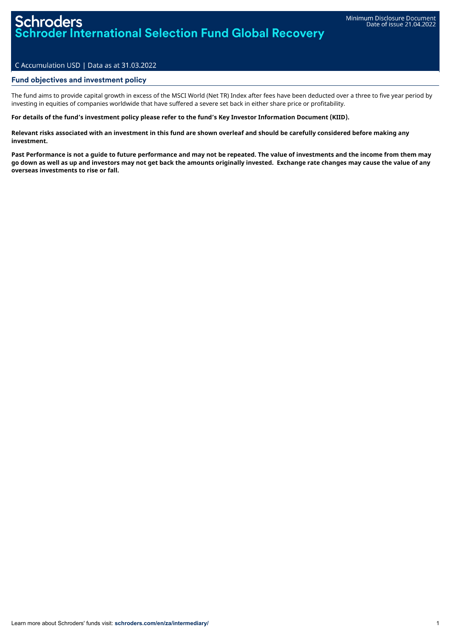# Schroders roder International Selection Fund Global Recovery

## C Accumulation USD | Data as at 31.03.2022

## Fund objectives and investment policy

The fund aims to provide capital growth in excess of the MSCI World (Net TR) Index after fees have been deducted over a three to five year period by investing in equities of companies worldwide that have suffered a severe set back in either share price or profitability.

#### For details of the fund's investment policy please refer to the fund's Key Investor Information Document (KIID).

Relevant risks associated with an investment in this fund are shown overleaf and should be carefully considered before making any **investment.**

Past Performance is not a quide to future performance and may not be repeated. The value of investments and the income from them may go down as well as up and investors may not get back the amounts originally invested. Exchange rate changes may cause the value of any **overseas investments to rise or fall.**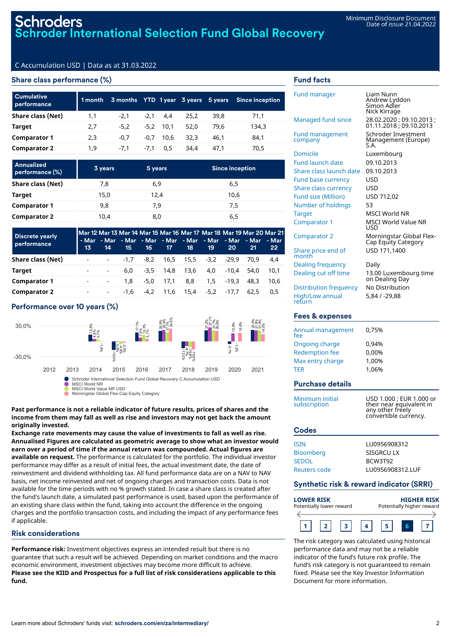# C Accumulation USD | Data as at 31.03.2022

## Share class performance (%)

| <b>Cumulative</b><br>performance | 1 month |        |        |             |      |      | 3 months YTD 1 year 3 years 5 years Since inception |
|----------------------------------|---------|--------|--------|-------------|------|------|-----------------------------------------------------|
| Share class (Net)                | 1,1     | $-2.1$ | $-2.1$ | 4.4         | 25.2 | 39.8 | 71,1                                                |
| <b>Target</b>                    | 2,7     | $-5.2$ | -5.2   | 10.1        | 52.0 | 79.6 | 134,3                                               |
| <b>Comparator 1</b>              | 2,3     | $-0.7$ |        | $-0.7$ 10.6 | 32.3 | 46.1 | 84,1                                                |
| <b>Comparator 2</b>              | 1,9     | $-7.1$ | $-7.1$ | 0.5         | 34.4 | 47.1 | 70,5                                                |

| Annualized<br>performance (%) | 3 years | 5 years | <b>Since inception</b> |
|-------------------------------|---------|---------|------------------------|
| Share class (Net)             | 7,8     | 6,9     | 6,5                    |
| Target                        | 15,0    | 12,4    | 10,6                   |
| <b>Comparator 1</b>           | 9,8     | 7,9     | 7,5                    |
| <b>Comparator 2</b>           | 10,4    | 8,0     | 6,5                    |

| <b>Discrete yearly</b><br>performance | 13 | 14                   | 15     | 16     | 17 <sup>2</sup> | 18   | 19                  | <b>20</b> | - Mar - Mar - Mar - Mar - Mar - Mar - Mar - Mar - Mar - Mar<br>21 | Mar 12 Mar 13 Mar 14 Mar 15 Mar 16 Mar 17 Mar 18 Mar 19 Mar 20 Mar 21<br>22 <sub>2</sub> |
|---------------------------------------|----|----------------------|--------|--------|-----------------|------|---------------------|-----------|-------------------------------------------------------------------|------------------------------------------------------------------------------------------|
| Share class (Net)                     |    | <b>All Contracts</b> | $-1.7$ |        |                 |      | -8.2 16.5 15.5 -3.2 | $-29.9$   | 70.9                                                              | 4.4                                                                                      |
| Target                                |    | $\sim$               | 6.0    | $-3.5$ | 14.8            | 13.6 | 4.0                 | $-10.4$   | 54.0                                                              | 10.1                                                                                     |
| <b>Comparator 1</b>                   |    | $\sim$               | 1.8    | $-5.0$ | 17.1            | 8.8  | 1.5                 | -19.3     | 48.3                                                              | 10.6                                                                                     |
| <b>Comparator 2</b>                   |    | $\sim$               | -1.6   | $-4.2$ | 11.6            | 15.4 | -5.2 -17.7          |           | 62.5                                                              | 0.5                                                                                      |

# Performance over 10 years (%)



Morningstar Global Flex-Cap Equity Category

**Past performance is not a reliable indicator of future results, prices of shares and the income from them may fall as well as rise and investors may not get back the amount originally invested.**

**Exchange rate movements may cause the value of investments to fall as well as rise. Annualised Figures are calculated as geometric average to show what an investor would earn over a period of time if the annual return was compounded. Actual figures are available on request.** The performance is calculated for the portfolio. The individual investor performance may differ as a result of initial fees, the actual investment date, the date of reinvestment and dividend withholding tax. All fund performance data are on a NAV to NAV basis, net income reinvested and net of ongoing charges and transaction costs. Data is not available for the time periods with no % growth stated. In case a share class is created after the fund's launch date, a simulated past performance is used, based upon the performance of an existing share class within the fund, taking into account the difference in the ongoing charges and the portfolio transaction costs, and including the impact of any performance fees if applicable.

# Risk considerations

**Performance risk:** Investment objectives express an intended result but there is no guarantee that such a result will be achieved. Depending on market conditions and the macro economic environment, investment objectives may become more difficult to achieve. **Please see the KIID and Prospectus for a full list of risk considerations applicable to this fund.**

# Fund facts

| <b>Fund manager</b>             | Liam Nunn<br>Andrew Lyddon<br>Simon Adler<br>Nick Kirrage                                         |
|---------------------------------|---------------------------------------------------------------------------------------------------|
| Managed fund since              | 28.02.2020 ; 09.10.2013 ;<br>01.11.2018 ; 09.10.2013                                              |
| Fund management<br>company      | Schroder Investment<br>Management (Europe)<br>S.A.                                                |
| Domicile                        | Luxembourg                                                                                        |
| <b>Fund launch date</b>         | 09.10.2013                                                                                        |
| Share class launch date         | 09.10.2013                                                                                        |
| <b>Fund base currency</b>       | USD                                                                                               |
| <b>Share class currency</b>     | USD                                                                                               |
| Fund size (Million)             | USD 712,02                                                                                        |
| Number of holdings              | 53                                                                                                |
| Target                          | MSCI World NR                                                                                     |
| Comparator 1                    | <b>MSCI World Value NR</b><br>USD                                                                 |
| <b>Comparator 2</b>             | Morningstar Global Flex-<br>Cap Equity Category                                                   |
| Share price end of<br>month     | USD 171,1400                                                                                      |
| Dealing frequency               | Daily                                                                                             |
| Dealing cut off time            | 13.00 Luxembourg time<br>on Dealing Day                                                           |
| Distribution frequency          | No Distribution                                                                                   |
| High/Low annual<br>return       | 5,84 / -29,88                                                                                     |
| Fees & expenses                 |                                                                                                   |
| Annual management<br>fee        | 0,75%                                                                                             |
| Ongoing charge                  | 0,94%                                                                                             |
| <b>Redemption fee</b>           | 0,00%                                                                                             |
| Max entry charge                | 1,00%                                                                                             |
| TER                             | 1,06%                                                                                             |
| <b>Purchase details</b>         |                                                                                                   |
| Minimum initial<br>subscription | USD 1.000 ; EUR 1.000 or<br>their near equivalent in<br>any other freely<br>convertible currency. |
| Codes                           |                                                                                                   |
| <b>ISIN</b>                     | LU0956908312                                                                                      |
| <b>Bloomberg</b>                | SISGRCU LX                                                                                        |
| <b>SEDOL</b>                    | BCW3T92                                                                                           |
| <b>Reuters code</b>             | LU0956908312.LUF                                                                                  |

## Synthetic risk & reward indicator (SRRI)

| <b>LOWER RISK</b>        |  |  | <b>HIGHER RISK</b>        |  |  |  |
|--------------------------|--|--|---------------------------|--|--|--|
| Potentially lower reward |  |  | Potentially higher reward |  |  |  |
|                          |  |  |                           |  |  |  |

The risk category was calculated using historical performance data and may not be a reliable indicator of the fund's future risk profile. The fund's risk category is not guaranteed to remain fixed. Please see the Key Investor Information Document for more information.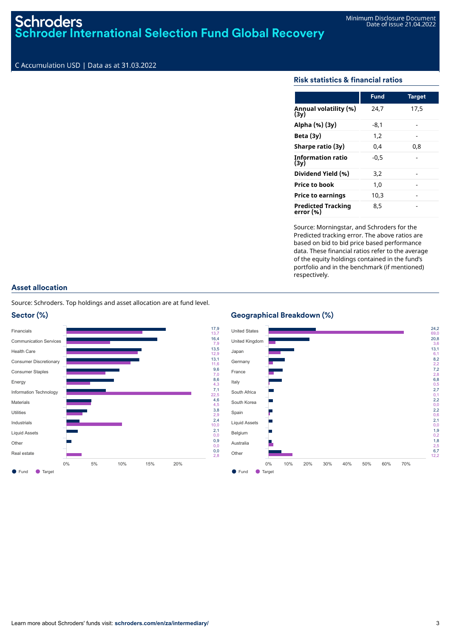# **Schroders Schroder International Selection Fund Global Recovery**

# C Accumulation USD | Data as at 31.03.2022

# Risk statistics & financial ratios

|                                        | <b>Fund</b> | <b>Target</b> |
|----------------------------------------|-------------|---------------|
| Annual volatility (%)<br>(3v)          | 24,7        | 17,5          |
| Alpha (%) (3y)                         | -8,1        |               |
| Beta $(3y)$                            | 1.2         |               |
| Sharpe ratio (3y)                      | 0.4         | 0.8           |
| <b>Information ratio</b><br>(3v)       | $-0.5$      |               |
| Dividend Yield (%)                     | 3,2         |               |
| <b>Price to book</b>                   | 1.0         |               |
| <b>Price to earnings</b>               | 10.3        |               |
| <b>Predicted Tracking</b><br>error (%) | 8,5         |               |

Source: Morningstar, and Schroders for the Predicted tracking error. The above ratios are based on bid to bid price based performance data. These financial ratios refer to the average of the equity holdings contained in the fund's portfolio and in the benchmark (if mentioned) respectively.

# Asset allocation

Source: Schroders. Top holdings and asset allocation are at fund level.



### Geographical Breakdown (%)

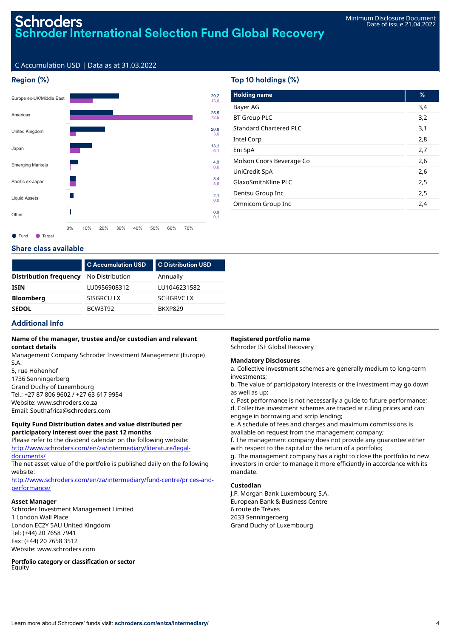# Schroders **Schroder International Selection Fund Global Recovery**

# C Accumulation USD | Data as at 31.03.2022



# Top 10 holdings (%)

| <b>Holding name</b>           | %   |
|-------------------------------|-----|
| Bayer AG                      | 3,4 |
| <b>BT Group PLC</b>           | 3,2 |
| <b>Standard Chartered PLC</b> | 3,1 |
| Intel Corp                    | 2,8 |
| Eni SpA                       | 2,7 |
| Molson Coors Beverage Co      | 2,6 |
| UniCredit SpA                 | 2,6 |
| GlaxoSmithKline PLC           | 2,5 |
| Dentsu Group Inc              | 2,5 |
| Omnicom Group Inc             | 2,4 |
|                               |     |

## Share class available

|                               | <b>C</b> Accumulation USD | <b>C Distribution USD</b> |
|-------------------------------|---------------------------|---------------------------|
| <b>Distribution frequency</b> | No Distribution           | Annually                  |
| <b>ISIN</b>                   | LU0956908312              | LU1046231582              |
| <b>Bloomberg</b>              | SISGRCU LX                | <b>SCHGRVC LX</b>         |
| <b>SEDOL</b>                  | BCW3T92                   | BKXP829                   |

# Additional Info

### **Name of the manager, trustee and/or custodian and relevant contact details**

Management Company Schroder Investment Management (Europe) S.A.

5, rue Höhenhof 1736 Senningerberg Grand Duchy of Luxembourg Tel.: +27 87 806 9602 / +27 63 617 9954 Website: www.schroders.co.za Email: Southafrica@schroders.com

### **Equity Fund Distribution dates and value distributed per participatory interest over the past 12 months**

Please refer to the dividend calendar on the following website: [http://www.schroders.com/en/za/intermediary/literature/legal](http://www.schroders.com/en/za/intermediary/literature/legal-documents/)documents/

The net asset value of the portfolio is published daily on the following website:

[http://www.schroders.com/en/za/intermediary/fund-centre/prices-and](http://www.schroders.com/en/za/intermediary/fund-centre/prices-and-performance/)performance/

### **Asset Manager**

Schroder Investment Management Limited 1 London Wall Place London EC2Y 5AU United Kingdom Tel: (+44) 20 7658 7941 Fax: (+44) 20 7658 3512 Website: www.schroders.com

Portfolio category or classification or sector **Equity** 

## **Registered portfolio name**

Schroder ISF Global Recovery

## **Mandatory Disclosures**

a. Collective investment schemes are generally medium to long-term investments;

b. The value of participatory interests or the investment may go down as well as up;

c. Past performance is not necessarily a guide to future performance; d. Collective investment schemes are traded at ruling prices and can engage in borrowing and scrip lending;

e. A schedule of fees and charges and maximum commissions is available on request from the management company;

f. The management company does not provide any guarantee either with respect to the capital or the return of a portfolio;

g. The management company has a right to close the portfolio to new investors in order to manage it more efficiently in accordance with its mandate.

### **Custodian**

J.P. Morgan Bank Luxembourg S.A. European Bank & Business Centre 6 route de Trèves 2633 Senningerberg Grand Duchy of Luxembourg